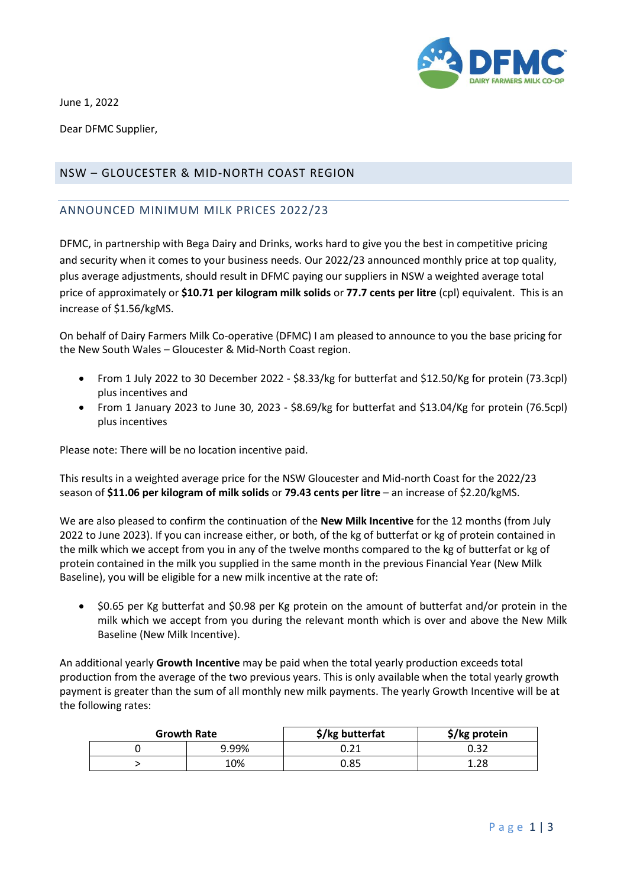

June 1, 2022

Dear DFMC Supplier,

## NSW – GLOUCESTER & MID-NORTH COAST REGION

## ANNOUNCED MINIMUM MILK PRICES 2022/23

DFMC, in partnership with Bega Dairy and Drinks, works hard to give you the best in competitive pricing and security when it comes to your business needs. Our 2022/23 announced monthly price at top quality, plus average adjustments, should result in DFMC paying our suppliers in NSW a weighted average total price of approximately or **\$10.71 per kilogram milk solids** or **77.7 cents per litre** (cpl) equivalent. This is an increase of \$1.56/kgMS.

On behalf of Dairy Farmers Milk Co-operative (DFMC) I am pleased to announce to you the base pricing for the New South Wales – Gloucester & Mid-North Coast region.

- From 1 July 2022 to 30 December 2022 \$8.33/kg for butterfat and \$12.50/Kg for protein (73.3cpl) plus incentives and
- From 1 January 2023 to June 30, 2023 \$8.69/kg for butterfat and \$13.04/Kg for protein (76.5cpl) plus incentives

Please note: There will be no location incentive paid.

This results in a weighted average price for the NSW Gloucester and Mid-north Coast for the 2022/23 season of **\$11.06 per kilogram of milk solids** or **79.43 cents per litre** – an increase of \$2.20/kgMS.

We are also pleased to confirm the continuation of the **New Milk Incentive** for the 12 months (from July 2022 to June 2023). If you can increase either, or both, of the kg of butterfat or kg of protein contained in the milk which we accept from you in any of the twelve months compared to the kg of butterfat or kg of protein contained in the milk you supplied in the same month in the previous Financial Year (New Milk Baseline), you will be eligible for a new milk incentive at the rate of:

• \$0.65 per Kg butterfat and \$0.98 per Kg protein on the amount of butterfat and/or protein in the milk which we accept from you during the relevant month which is over and above the New Milk Baseline (New Milk Incentive).

An additional yearly **Growth Incentive** may be paid when the total yearly production exceeds total production from the average of the two previous years. This is only available when the total yearly growth payment is greater than the sum of all monthly new milk payments. The yearly Growth Incentive will be at the following rates:

| <b>Growth Rate</b> |       | \$/kg butterfat | \$/kg protein |
|--------------------|-------|-----------------|---------------|
|                    | 9.99% | しょんエ            |               |
|                    | 10%   | 0.85            | 1.28          |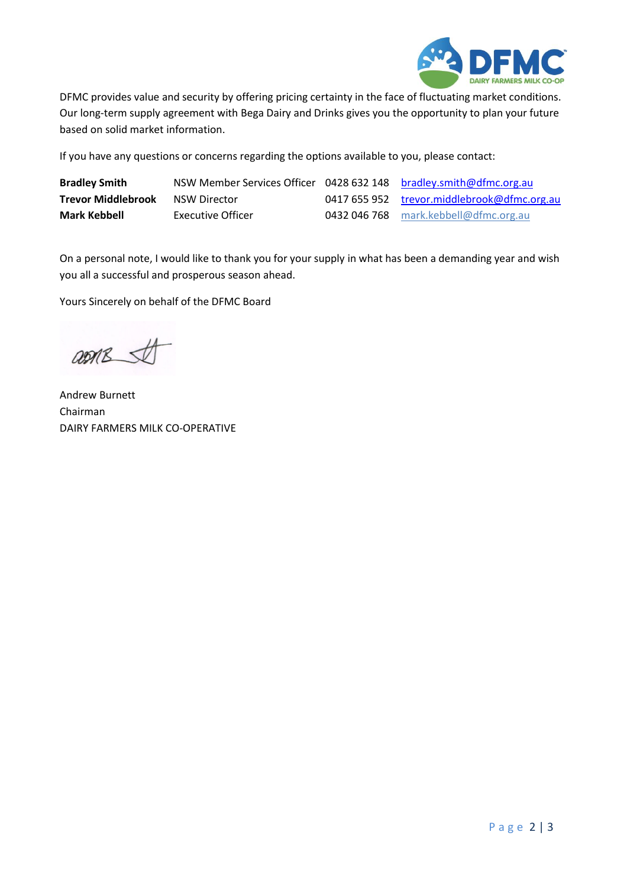

DFMC provides value and security by offering pricing certainty in the face of fluctuating market conditions. Our long-term supply agreement with Bega Dairy and Drinks gives you the opportunity to plan your future based on solid market information.

If you have any questions or concerns regarding the options available to you, please contact:

| <b>Bradley Smith</b>      | NSW Member Services Officer 0428 632 148 bradley.smith@dfmc.org.au |                                             |
|---------------------------|--------------------------------------------------------------------|---------------------------------------------|
| <b>Trevor Middlebrook</b> | NSW Director                                                       | 0417 655 952 trevor.middlebrook@dfmc.org.au |
| Mark Kebbell              | Executive Officer                                                  | 0432 046 768 mark.kebbell@dfmc.org.au       |

On a personal note, I would like to thank you for your supply in what has been a demanding year and wish you all a successful and prosperous season ahead.

Yours Sincerely on behalf of the DFMC Board

asmes

Andrew Burnett Chairman DAIRY FARMERS MILK CO-OPERATIVE